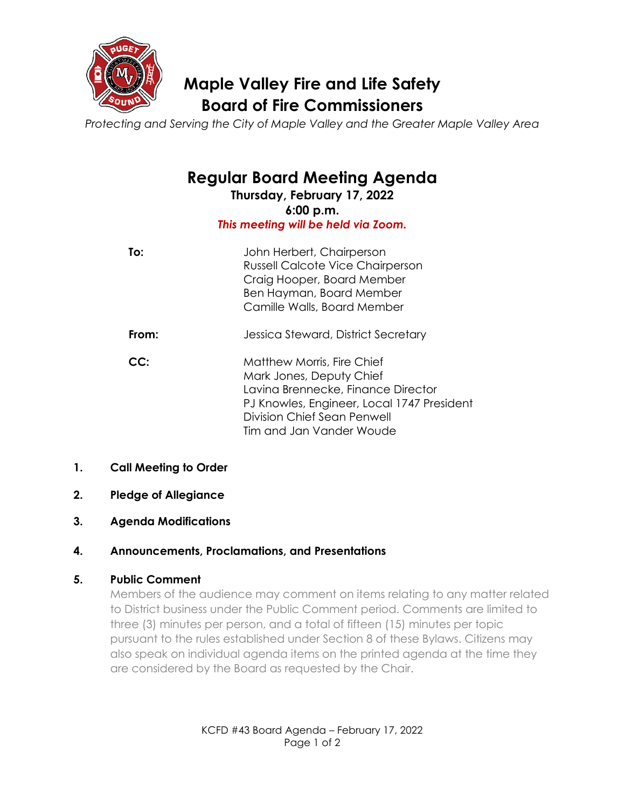

# **Maple Valley Fire and Life Safety Board of Fire Commissioners**

*Protecting and Serving the City of Maple Valley and the Greater Maple Valley Area*

**Regular Board Meeting Agenda**

**Thursday, February 17, 2022 6:00 p.m.** *This meeting will be held via Zoom.*

| To:   | John Herbert, Chairperson<br><b>Russell Calcote Vice Chairperson</b><br>Craig Hooper, Board Member<br>Ben Hayman, Board Member<br>Camille Walls, Board Member                    |
|-------|----------------------------------------------------------------------------------------------------------------------------------------------------------------------------------|
| From: | Jessica Steward, District Secretary                                                                                                                                              |
| CC:   | Matthew Morris, Fire Chief<br>Mark Jones, Deputy Chief<br>Lavina Brennecke, Finance Director<br>PJ Knowles, Engineer, Local 1747 President<br><b>Division Chief Sean Penwell</b> |

Tim and Jan Vander Woude

# **1. Call Meeting to Order**

- **2. Pledge of Allegiance**
- **3. Agenda Modifications**

# **4. Announcements, Proclamations, and Presentations**

# **5. Public Comment**

Members of the audience may comment on items relating to any matter related to District business under the Public Comment period. Comments are limited to three (3) minutes per person, and a total of fifteen (15) minutes per topic pursuant to the rules established under Section 8 of these Bylaws. Citizens may also speak on individual agenda items on the printed agenda at the time they are considered by the Board as requested by the Chair.